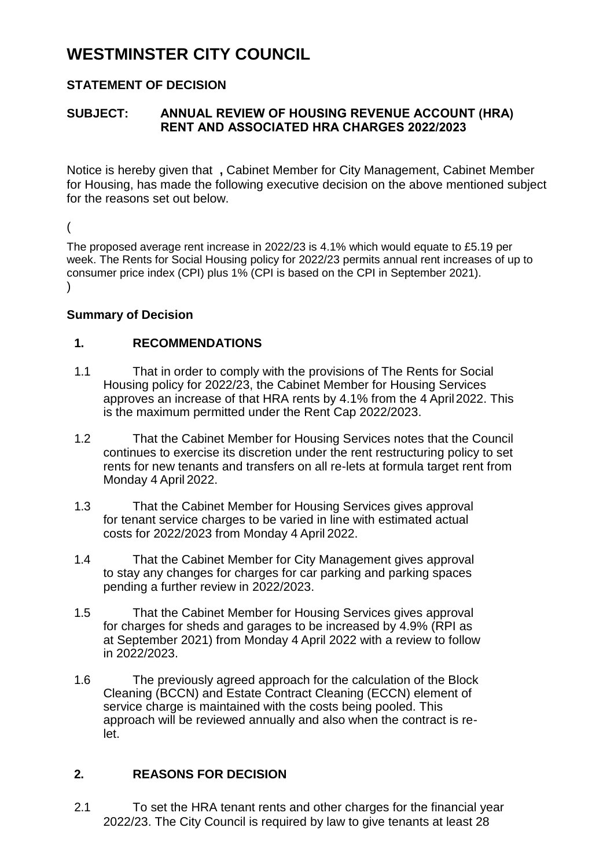# **WESTMINSTER CITY COUNCIL**

## **STATEMENT OF DECISION**

## **SUBJECT: ANNUAL REVIEW OF HOUSING REVENUE ACCOUNT (HRA) RENT AND ASSOCIATED HRA CHARGES 2022/2023**

Notice is hereby given that **,** Cabinet Member for City Management, Cabinet Member for Housing, has made the following executive decision on the above mentioned subject for the reasons set out below.

(

The proposed average rent increase in 2022/23 is 4.1% which would equate to £5.19 per week. The Rents for Social Housing policy for 2022/23 permits annual rent increases of up to consumer price index (CPI) plus 1% (CPI is based on the CPI in September 2021).  $\lambda$ 

#### **Summary of Decision**

### **1. RECOMMENDATIONS**

- 1.1 That in order to comply with the provisions of The Rents for Social Housing policy for 2022/23, the Cabinet Member for Housing Services approves an increase of that HRA rents by 4.1% from the 4 April2022. This is the maximum permitted under the Rent Cap 2022/2023.
- 1.2 That the Cabinet Member for Housing Services notes that the Council continues to exercise its discretion under the rent restructuring policy to set rents for new tenants and transfers on all re-lets at formula target rent from Monday 4 April 2022.
- 1.3 That the Cabinet Member for Housing Services gives approval for tenant service charges to be varied in line with estimated actual costs for 2022/2023 from Monday 4 April 2022.
- 1.4 That the Cabinet Member for City Management gives approval to stay any changes for charges for car parking and parking spaces pending a further review in 2022/2023.
- 1.5 That the Cabinet Member for Housing Services gives approval for charges for sheds and garages to be increased by 4.9% (RPI as at September 2021) from Monday 4 April 2022 with a review to follow in 2022/2023.
- 1.6 The previously agreed approach for the calculation of the Block Cleaning (BCCN) and Estate Contract Cleaning (ECCN) element of service charge is maintained with the costs being pooled. This approach will be reviewed annually and also when the contract is relet.

## **2. REASONS FOR DECISION**

2.1 To set the HRA tenant rents and other charges for the financial year 2022/23. The City Council is required by law to give tenants at least 28